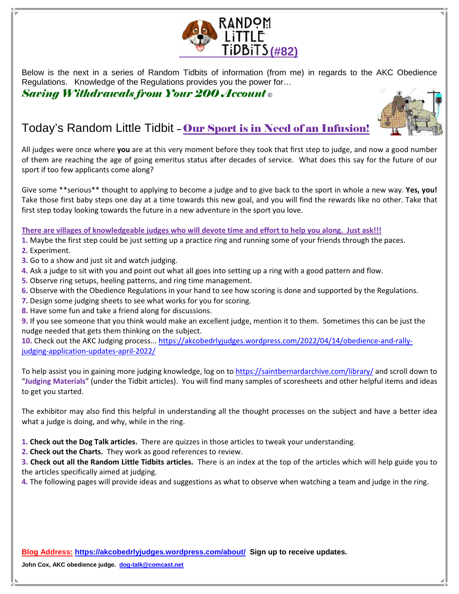

Below is the next in a series of Random Tidbits of information (from me) in regards to the AKC Obedience Regulations. Knowledge of the Regulations provides you the power for…

Saving Withdrawals from Your 200 Account **©** 

# Today's Random Little Tidbit – Our Sport is in Need of an Infusion!



Give some \*\*serious\*\* thought to applying to become a judge and to give back to the sport in whole a new way. Yes, you! Take those first baby steps one day at a time towards this new goal, and you will find the rewards like no other. Take that first step today looking towards the future in a new adventure in the sport you love.

#### There are villages of knowledgeable judges who will devote time and effort to help you along. Just ask!!!

- 1. Maybe the first step could be just setting up a practice ring and running some of your friends through the paces.
- 2. Experiment.
- 3. Go to a show and just sit and watch judging.
- 4. Ask a judge to sit with you and point out what all goes into setting up a ring with a good pattern and flow.
- 5. Observe ring setups, heeling patterns, and ring time management.
- 6. Observe with the Obedience Regulations in your hand to see how scoring is done and supported by the Regulations.
- 7. Design some judging sheets to see what works for you for scoring.
- 8. Have some fun and take a friend along for discussions.
- 9. If you see someone that you think would make an excellent judge, mention it to them. Sometimes this can be just the nudge needed that gets them thinking on the subject.

10. Check out the AKC Judging process... https://akcobedrlyjudges.wordpress.com/2022/04/14/obedience-and-rallyjudging-application-updates-april-2022/

To help assist you in gaining more judging knowledge, log on to https://saintbernardarchive.com/library/ and scroll down to "Judging Materials" (under the Tidbit articles). You will find many samples of scoresheets and other helpful items and ideas to get you started.

The exhibitor may also find this helpful in understanding all the thought processes on the subject and have a better idea what a judge is doing, and why, while in the ring.

- 1. Check out the Dog Talk articles. There are quizzes in those articles to tweak your understanding.
- 2. Check out the Charts. They work as good references to review.

3. Check out all the Random Little Tidbits articles. There is an index at the top of the articles which will help guide you to the articles specifically aimed at judging.

4. The following pages will provide ideas and suggestions as what to observe when watching a team and judge in the ring.

**Blog Address: https://akcobedrlyjudges.wordpress.com/about/ Sign up to receive updates.** 

**John Cox, AKC obedience judge. dog-talk@comcast.net**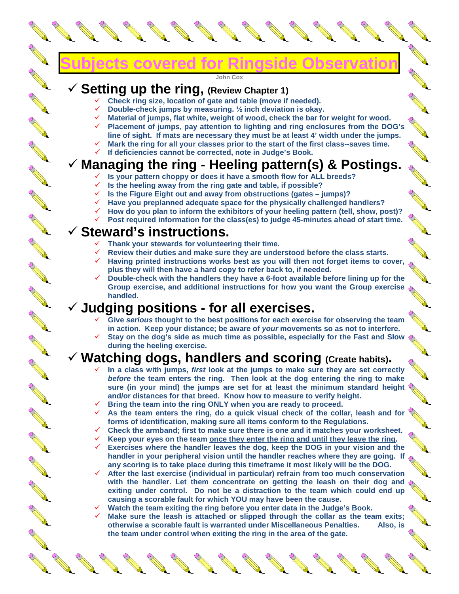# **Subjects covered for Ringside Observation**

#### **John Cox**

## **Setting up the ring, (Review Chapter 1)**

- **Check ring size, location of gate and table (move if needed).**
- **Double-check jumps by measuring. ½ inch deviation is okay.**
- **Material of jumps, flat white, weight of wood, check the bar for weight for wood.**
- **Placement of jumps, pay attention to lighting and ring enclosures from the DOG's line of sight. If mats are necessary they must be at least 4' width under the jumps.**
- **Mark the ring for all your classes prior to the start of the first class--saves time.**
- **If deficiencies cannot be corrected, note in Judge's Book.**

# **Managing the ring - Heeling pattern(s) & Postings.**

- **Is your pattern choppy or does it have a smooth flow for ALL breeds?**
- **Is the heeling away from the ring gate and table, if possible?**
- **Is the Figure Eight out and away from obstructions (gates jumps)?** 
	- **Have you preplanned adequate space for the physically challenged handlers?**
- **How do you plan to inform the exhibitors of your heeling pattern (tell, show, post)?**
- **Post required information for the class(es) to judge 45-minutes ahead of start time.**

#### **Steward's instructions.**

- **Thank your stewards for volunteering their time.**
- **Review their duties and make sure they are understood before the class starts.**
- **Having printed instructions works best as you will then not forget items to cover, plus they will then have a hard copy to refer back to, if needed.**
- **Double-check with the handlers they have a 6-foot available before lining up for the Group exercise, and additional instructions for how you want the Group exercise handled.**

#### **Judging positions - for all exercises.**

- **Give serious thought to the best positions for each exercise for observing the team in action. Keep your distance; be aware of your movements so as not to interfere.**
- **Stay on the dog's side as much time as possible, especially for the Fast and Slow during the heeling exercise.**

#### **Watching dogs, handlers and scoring (Create habits).**

- **In a class with jumps, first look at the jumps to make sure they are set correctly before the team enters the ring. Then look at the dog entering the ring to make sure (in your mind) the jumps are set for at least the minimum standard height and/or distances for that breed. Know how to measure to verify height.**
- **Bring the team into the ring ONLY when you are ready to proceed.**
- **As the team enters the ring, do a quick visual check of the collar, leash and for forms of identification, making sure all items conform to the Regulations.**
- **Check the armband; first to make sure there is one and it matches your worksheet.**
- **Keep your eyes on the team once they enter the ring and until they leave the ring.**
- **Exercises where the handler leaves the dog, keep the DOG in your vision and the**  handler in your peripheral vision until the handler reaches where they are going. If  $\Diamond$ **any scoring is to take place during this timeframe it most likely will be the DOG.**
- **After the last exercise (individual in particular) refrain from too much conservation**  with the handler. Let them concentrate on getting the leash on their dog and  $\Diamond$ **exiting under control. Do not be a distraction to the team which could end up causing a scorable fault for which YOU may have been the cause.**
- **Watch the team exiting the ring before you enter data in the Judge's Book.**
- **Make sure the leash is attached or slipped through the collar as the team exits; otherwise a scorable fault is warranted under Miscellaneous Penalties. Also, is the team under control when exiting the ring in the area of the gate.**